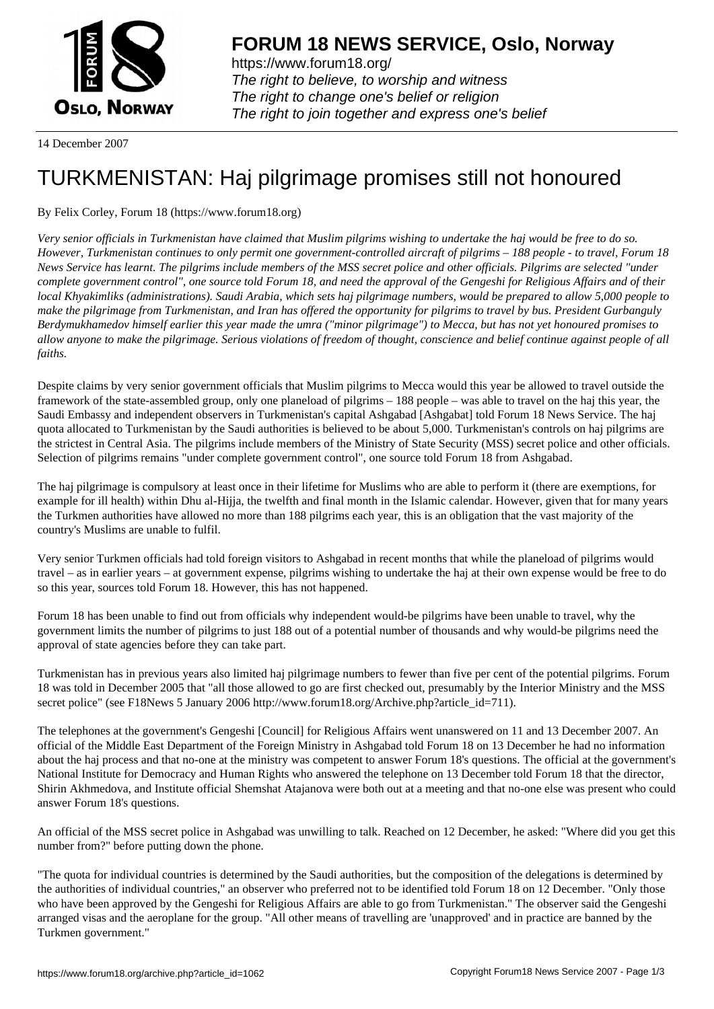

https://www.forum18.org/ The right to believe, to worship and witness The right to change one's belief or religion [The right to join together a](https://www.forum18.org/)nd express one's belief

14 December 2007

## [TURKMENISTA](https://www.forum18.org)N: Haj pilgrimage promises still not honoured

By Felix Corley, Forum 18 (https://www.forum18.org)

*Very senior officials in Turkmenistan have claimed that Muslim pilgrims wishing to undertake the haj would be free to do so. However, Turkmenistan continues to only permit one government-controlled aircraft of pilgrims – 188 people - to travel, Forum 18 News Service has learnt. The pilgrims include members of the MSS secret police and other officials. Pilgrims are selected "under complete government control", one source told Forum 18, and need the approval of the Gengeshi for Religious Affairs and of their local Khyakimliks (administrations). Saudi Arabia, which sets haj pilgrimage numbers, would be prepared to allow 5,000 people to make the pilgrimage from Turkmenistan, and Iran has offered the opportunity for pilgrims to travel by bus. President Gurbanguly Berdymukhamedov himself earlier this year made the umra ("minor pilgrimage") to Mecca, but has not yet honoured promises to allow anyone to make the pilgrimage. Serious violations of freedom of thought, conscience and belief continue against people of all faiths.*

Despite claims by very senior government officials that Muslim pilgrims to Mecca would this year be allowed to travel outside the framework of the state-assembled group, only one planeload of pilgrims – 188 people – was able to travel on the haj this year, the Saudi Embassy and independent observers in Turkmenistan's capital Ashgabad [Ashgabat] told Forum 18 News Service. The haj quota allocated to Turkmenistan by the Saudi authorities is believed to be about 5,000. Turkmenistan's controls on haj pilgrims are the strictest in Central Asia. The pilgrims include members of the Ministry of State Security (MSS) secret police and other officials. Selection of pilgrims remains "under complete government control", one source told Forum 18 from Ashgabad.

The haj pilgrimage is compulsory at least once in their lifetime for Muslims who are able to perform it (there are exemptions, for example for ill health) within Dhu al-Hijja, the twelfth and final month in the Islamic calendar. However, given that for many years the Turkmen authorities have allowed no more than 188 pilgrims each year, this is an obligation that the vast majority of the country's Muslims are unable to fulfil.

Very senior Turkmen officials had told foreign visitors to Ashgabad in recent months that while the planeload of pilgrims would travel – as in earlier years – at government expense, pilgrims wishing to undertake the haj at their own expense would be free to do so this year, sources told Forum 18. However, this has not happened.

Forum 18 has been unable to find out from officials why independent would-be pilgrims have been unable to travel, why the government limits the number of pilgrims to just 188 out of a potential number of thousands and why would-be pilgrims need the approval of state agencies before they can take part.

Turkmenistan has in previous years also limited haj pilgrimage numbers to fewer than five per cent of the potential pilgrims. Forum 18 was told in December 2005 that "all those allowed to go are first checked out, presumably by the Interior Ministry and the MSS secret police" (see F18News 5 January 2006 http://www.forum18.org/Archive.php?article\_id=711).

The telephones at the government's Gengeshi [Council] for Religious Affairs went unanswered on 11 and 13 December 2007. An official of the Middle East Department of the Foreign Ministry in Ashgabad told Forum 18 on 13 December he had no information about the haj process and that no-one at the ministry was competent to answer Forum 18's questions. The official at the government's National Institute for Democracy and Human Rights who answered the telephone on 13 December told Forum 18 that the director, Shirin Akhmedova, and Institute official Shemshat Atajanova were both out at a meeting and that no-one else was present who could answer Forum 18's questions.

An official of the MSS secret police in Ashgabad was unwilling to talk. Reached on 12 December, he asked: "Where did you get this number from?" before putting down the phone.

"The quota for individual countries is determined by the Saudi authorities, but the composition of the delegations is determined by the authorities of individual countries," an observer who preferred not to be identified told Forum 18 on 12 December. "Only those who have been approved by the Gengeshi for Religious Affairs are able to go from Turkmenistan." The observer said the Gengeshi arranged visas and the aeroplane for the group. "All other means of travelling are 'unapproved' and in practice are banned by the Turkmen government."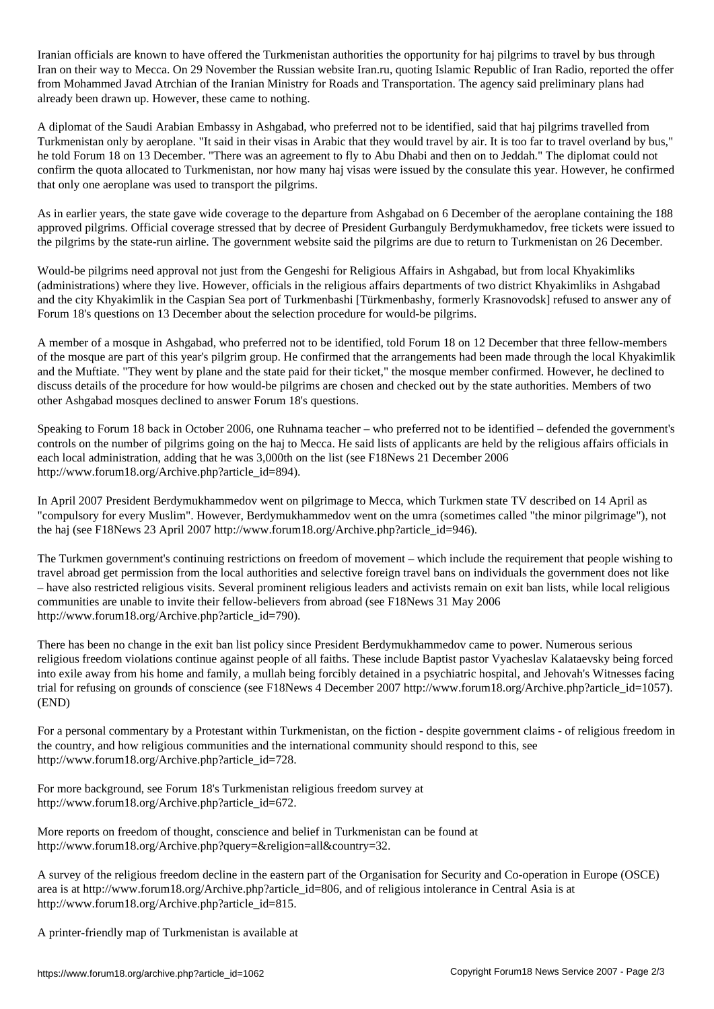Iranian officials are known to have offered the Turkmenistan authorities the opportunity for haj pilgrims to travel by bus through Iran on their way to Mecca. On 29 November the Russian website Iran.ru, quoting Islamic Republic of Iran Radio, reported the offer from Mohammed Javad Atrchian of the Iranian Ministry for Roads and Transportation. The agency said preliminary plans had already been drawn up. However, these came to nothing.

A diplomat of the Saudi Arabian Embassy in Ashgabad, who preferred not to be identified, said that haj pilgrims travelled from Turkmenistan only by aeroplane. "It said in their visas in Arabic that they would travel by air. It is too far to travel overland by bus," he told Forum 18 on 13 December. "There was an agreement to fly to Abu Dhabi and then on to Jeddah." The diplomat could not confirm the quota allocated to Turkmenistan, nor how many haj visas were issued by the consulate this year. However, he confirmed that only one aeroplane was used to transport the pilgrims.

As in earlier years, the state gave wide coverage to the departure from Ashgabad on 6 December of the aeroplane containing the 188 approved pilgrims. Official coverage stressed that by decree of President Gurbanguly Berdymukhamedov, free tickets were issued to the pilgrims by the state-run airline. The government website said the pilgrims are due to return to Turkmenistan on 26 December.

Would-be pilgrims need approval not just from the Gengeshi for Religious Affairs in Ashgabad, but from local Khyakimliks (administrations) where they live. However, officials in the religious affairs departments of two district Khyakimliks in Ashgabad and the city Khyakimlik in the Caspian Sea port of Turkmenbashi [Türkmenbashy, formerly Krasnovodsk] refused to answer any of Forum 18's questions on 13 December about the selection procedure for would-be pilgrims.

A member of a mosque in Ashgabad, who preferred not to be identified, told Forum 18 on 12 December that three fellow-members of the mosque are part of this year's pilgrim group. He confirmed that the arrangements had been made through the local Khyakimlik and the Muftiate. "They went by plane and the state paid for their ticket," the mosque member confirmed. However, he declined to discuss details of the procedure for how would-be pilgrims are chosen and checked out by the state authorities. Members of two other Ashgabad mosques declined to answer Forum 18's questions.

Speaking to Forum 18 back in October 2006, one Ruhnama teacher – who preferred not to be identified – defended the government's controls on the number of pilgrims going on the haj to Mecca. He said lists of applicants are held by the religious affairs officials in each local administration, adding that he was 3,000th on the list (see F18News 21 December 2006 http://www.forum18.org/Archive.php?article\_id=894).

In April 2007 President Berdymukhammedov went on pilgrimage to Mecca, which Turkmen state TV described on 14 April as "compulsory for every Muslim". However, Berdymukhammedov went on the umra (sometimes called "the minor pilgrimage"), not the haj (see F18News 23 April 2007 http://www.forum18.org/Archive.php?article\_id=946).

The Turkmen government's continuing restrictions on freedom of movement – which include the requirement that people wishing to travel abroad get permission from the local authorities and selective foreign travel bans on individuals the government does not like – have also restricted religious visits. Several prominent religious leaders and activists remain on exit ban lists, while local religious communities are unable to invite their fellow-believers from abroad (see F18News 31 May 2006 http://www.forum18.org/Archive.php?article\_id=790).

There has been no change in the exit ban list policy since President Berdymukhammedov came to power. Numerous serious religious freedom violations continue against people of all faiths. These include Baptist pastor Vyacheslav Kalataevsky being forced into exile away from his home and family, a mullah being forcibly detained in a psychiatric hospital, and Jehovah's Witnesses facing trial for refusing on grounds of conscience (see F18News 4 December 2007 http://www.forum18.org/Archive.php?article\_id=1057). (END)

For a personal commentary by a Protestant within Turkmenistan, on the fiction - despite government claims - of religious freedom in the country, and how religious communities and the international community should respond to this, see http://www.forum18.org/Archive.php?article\_id=728.

For more background, see Forum 18's Turkmenistan religious freedom survey at http://www.forum18.org/Archive.php?article\_id=672.

More reports on freedom of thought, conscience and belief in Turkmenistan can be found at http://www.forum18.org/Archive.php?query=&religion=all&country=32.

A survey of the religious freedom decline in the eastern part of the Organisation for Security and Co-operation in Europe (OSCE) area is at http://www.forum18.org/Archive.php?article\_id=806, and of religious intolerance in Central Asia is at http://www.forum18.org/Archive.php?article\_id=815.

A printer-friendly map of Turkmenistan is available at